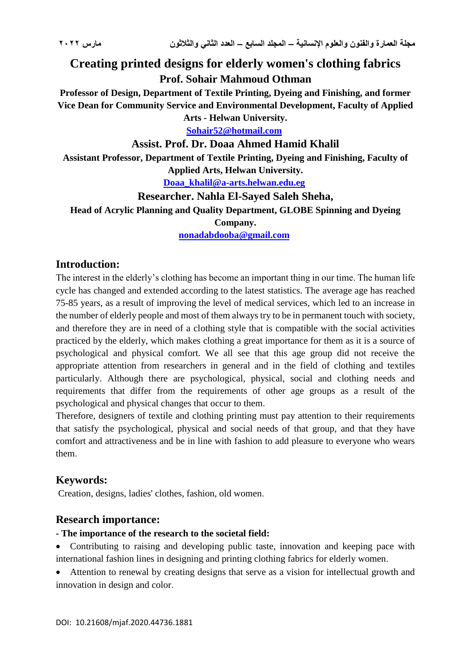# **Creating printed designs for elderly women's clothing fabrics Prof. Sohair Mahmoud Othman**

**Professor of Design, Department of Textile Printing, Dyeing and Finishing, and former Vice Dean for Community Service and Environmental Development, Faculty of Applied Arts - Helwan University.**

**[Sohair52@hotmail.com](mailto:Sohair52@hotmail.com)**

#### **Assist. Prof. Dr. Doaa Ahmed Hamid Khalil**

**Assistant Professor, Department of Textile Printing, Dyeing and Finishing, Faculty of Applied Arts, Helwan University.**

**[Doaa\\_khalil@a-arts.helwan.edu.eg](mailto:Doaa_khalil@a-arts.helwan.edu.eg)**

**Researcher. Nahla El-Sayed Saleh Sheha,**

**Head of Acrylic Planning and Quality Department, GLOBE Spinning and Dyeing** 

**Company.**

**[nonadabdooba@gmail.com](mailto:nonadabdooba@gmail.com)**

# **Introduction:**

The interest in the elderly's clothing has become an important thing in our time. The human life cycle has changed and extended according to the latest statistics. The average age has reached 75-85 years, as a result of improving the level of medical services, which led to an increase in the number of elderly people and most of them always try to be in permanent touch with society, and therefore they are in need of a clothing style that is compatible with the social activities practiced by the elderly, which makes clothing a great importance for them as it is a source of psychological and physical comfort. We all see that this age group did not receive the appropriate attention from researchers in general and in the field of clothing and textiles particularly. Although there are psychological, physical, social and clothing needs and requirements that differ from the requirements of other age groups as a result of the psychological and physical changes that occur to them.

Therefore, designers of textile and clothing printing must pay attention to their requirements that satisfy the psychological, physical and social needs of that group, and that they have comfort and attractiveness and be in line with fashion to add pleasure to everyone who wears them.

# **Keywords:**

Creation, designs, ladies' clothes, fashion, old women.

#### **Research importance:**

#### **- The importance of the research to the societal field:**

• Contributing to raising and developing public taste, innovation and keeping pace with international fashion lines in designing and printing clothing fabrics for elderly women.

 Attention to renewal by creating designs that serve as a vision for intellectual growth and innovation in design and color.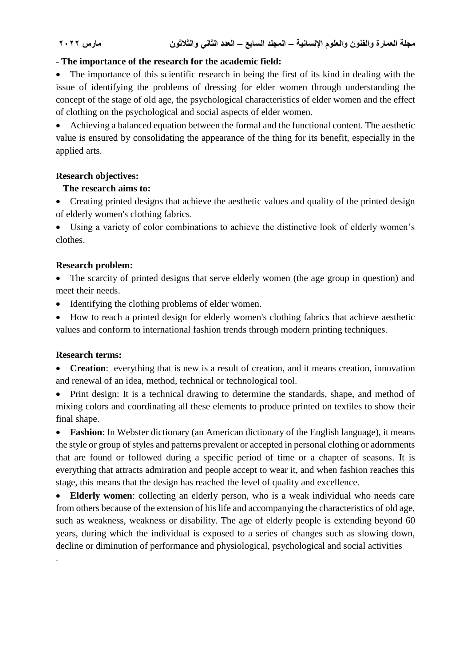# **- The importance of the research for the academic field:**

• The importance of this scientific research in being the first of its kind in dealing with the issue of identifying the problems of dressing for elder women through understanding the concept of the stage of old age, the psychological characteristics of elder women and the effect of clothing on the psychological and social aspects of elder women.

 Achieving a balanced equation between the formal and the functional content. The aesthetic value is ensured by consolidating the appearance of the thing for its benefit, especially in the applied arts.

#### **Research objectives:**

#### **The research aims to:**

• Creating printed designs that achieve the aesthetic values and quality of the printed design of elderly women's clothing fabrics.

 Using a variety of color combinations to achieve the distinctive look of elderly women's clothes.

#### **Research problem:**

 The scarcity of printed designs that serve elderly women (the age group in question) and meet their needs.

- Identifying the clothing problems of elder women.
- How to reach a printed design for elderly women's clothing fabrics that achieve aesthetic values and conform to international fashion trends through modern printing techniques.

#### **Research terms:**

.

 **Creation**: everything that is new is a result of creation, and it means creation, innovation and renewal of an idea, method, technical or technological tool.

• Print design: It is a technical drawing to determine the standards, shape, and method of mixing colors and coordinating all these elements to produce printed on textiles to show their final shape.

 **Fashion**: In Webster dictionary (an American dictionary of the English language), it means the style or group of styles and patterns prevalent or accepted in personal clothing or adornments that are found or followed during a specific period of time or a chapter of seasons. It is everything that attracts admiration and people accept to wear it, and when fashion reaches this stage, this means that the design has reached the level of quality and excellence.

 **Elderly women**: collecting an elderly person, who is a weak individual who needs care from others because of the extension of his life and accompanying the characteristics of old age, such as weakness, weakness or disability. The age of elderly people is extending beyond 60 years, during which the individual is exposed to a series of changes such as slowing down, decline or diminution of performance and physiological, psychological and social activities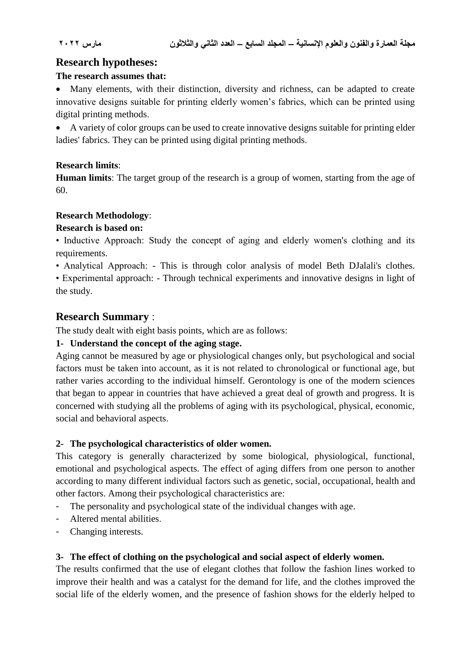# **Research hypotheses:**

# **The research assumes that:**

 Many elements, with their distinction, diversity and richness, can be adapted to create innovative designs suitable for printing elderly women's fabrics, which can be printed using digital printing methods.

 A variety of color groups can be used to create innovative designs suitable for printing elder ladies' fabrics. They can be printed using digital printing methods.

# **Research limits**:

**Human limits**: The target group of the research is a group of women, starting from the age of 60.

# **Research Methodology**:

# **Research is based on:**

• Inductive Approach: Study the concept of aging and elderly women's clothing and its requirements.

• Analytical Approach: - This is through color analysis of model Beth DJalali's clothes.

• Experimental approach: - Through technical experiments and innovative designs in light of the study.

# **Research Summary** :

The study dealt with eight basis points, which are as follows:

# **1- Understand the concept of the aging stage.**

Aging cannot be measured by age or physiological changes only, but psychological and social factors must be taken into account, as it is not related to chronological or functional age, but rather varies according to the individual himself. Gerontology is one of the modern sciences that began to appear in countries that have achieved a great deal of growth and progress. It is concerned with studying all the problems of aging with its psychological, physical, economic, social and behavioral aspects.

# **2- The psychological characteristics of older women.**

This category is generally characterized by some biological, physiological, functional, emotional and psychological aspects. The effect of aging differs from one person to another according to many different individual factors such as genetic, social, occupational, health and other factors. Among their psychological characteristics are:

- The personality and psychological state of the individual changes with age.
- Altered mental abilities.
- Changing interests.

# **3- The effect of clothing on the psychological and social aspect of elderly women.**

The results confirmed that the use of elegant clothes that follow the fashion lines worked to improve their health and was a catalyst for the demand for life, and the clothes improved the social life of the elderly women, and the presence of fashion shows for the elderly helped to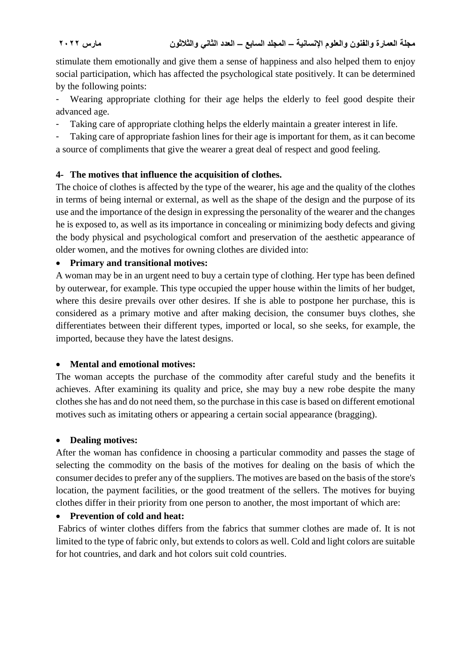stimulate them emotionally and give them a sense of happiness and also helped them to enjoy social participation, which has affected the psychological state positively. It can be determined by the following points:

Wearing appropriate clothing for their age helps the elderly to feel good despite their advanced age.

Taking care of appropriate clothing helps the elderly maintain a greater interest in life.

- Taking care of appropriate fashion lines for their age is important for them, as it can become a source of compliments that give the wearer a great deal of respect and good feeling.

# **4- The motives that influence the acquisition of clothes.**

The choice of clothes is affected by the type of the wearer, his age and the quality of the clothes in terms of being internal or external, as well as the shape of the design and the purpose of its use and the importance of the design in expressing the personality of the wearer and the changes he is exposed to, as well as its importance in concealing or minimizing body defects and giving the body physical and psychological comfort and preservation of the aesthetic appearance of older women, and the motives for owning clothes are divided into:

# **Primary and transitional motives:**

A woman may be in an urgent need to buy a certain type of clothing. Her type has been defined by outerwear, for example. This type occupied the upper house within the limits of her budget, where this desire prevails over other desires. If she is able to postpone her purchase, this is considered as a primary motive and after making decision, the consumer buys clothes, she differentiates between their different types, imported or local, so she seeks, for example, the imported, because they have the latest designs.

# **Mental and emotional motives:**

The woman accepts the purchase of the commodity after careful study and the benefits it achieves. After examining its quality and price, she may buy a new robe despite the many clothes she has and do not need them, so the purchase in this case is based on different emotional motives such as imitating others or appearing a certain social appearance (bragging).

# **Dealing motives:**

After the woman has confidence in choosing a particular commodity and passes the stage of selecting the commodity on the basis of the motives for dealing on the basis of which the consumer decides to prefer any of the suppliers. The motives are based on the basis of the store's location, the payment facilities, or the good treatment of the sellers. The motives for buying clothes differ in their priority from one person to another, the most important of which are:

# **Prevention of cold and heat:**

Fabrics of winter clothes differs from the fabrics that summer clothes are made of. It is not limited to the type of fabric only, but extends to colors as well. Cold and light colors are suitable for hot countries, and dark and hot colors suit cold countries.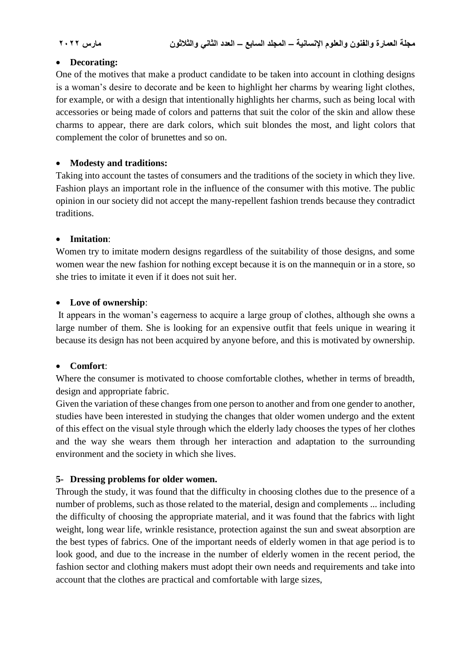#### **Decorating:**

One of the motives that make a product candidate to be taken into account in clothing designs is a woman's desire to decorate and be keen to highlight her charms by wearing light clothes, for example, or with a design that intentionally highlights her charms, such as being local with accessories or being made of colors and patterns that suit the color of the skin and allow these charms to appear, there are dark colors, which suit blondes the most, and light colors that complement the color of brunettes and so on.

#### **Modesty and traditions:**

Taking into account the tastes of consumers and the traditions of the society in which they live. Fashion plays an important role in the influence of the consumer with this motive. The public opinion in our society did not accept the many-repellent fashion trends because they contradict traditions.

#### **Imitation**:

Women try to imitate modern designs regardless of the suitability of those designs, and some women wear the new fashion for nothing except because it is on the mannequin or in a store, so she tries to imitate it even if it does not suit her.

#### **Love of ownership**:

It appears in the woman's eagerness to acquire a large group of clothes, although she owns a large number of them. She is looking for an expensive outfit that feels unique in wearing it because its design has not been acquired by anyone before, and this is motivated by ownership.

#### **Comfort**:

Where the consumer is motivated to choose comfortable clothes, whether in terms of breadth, design and appropriate fabric.

Given the variation of these changes from one person to another and from one gender to another, studies have been interested in studying the changes that older women undergo and the extent of this effect on the visual style through which the elderly lady chooses the types of her clothes and the way she wears them through her interaction and adaptation to the surrounding environment and the society in which she lives.

# **5- Dressing problems for older women.**

Through the study, it was found that the difficulty in choosing clothes due to the presence of a number of problems, such as those related to the material, design and complements ... including the difficulty of choosing the appropriate material, and it was found that the fabrics with light weight, long wear life, wrinkle resistance, protection against the sun and sweat absorption are the best types of fabrics. One of the important needs of elderly women in that age period is to look good, and due to the increase in the number of elderly women in the recent period, the fashion sector and clothing makers must adopt their own needs and requirements and take into account that the clothes are practical and comfortable with large sizes,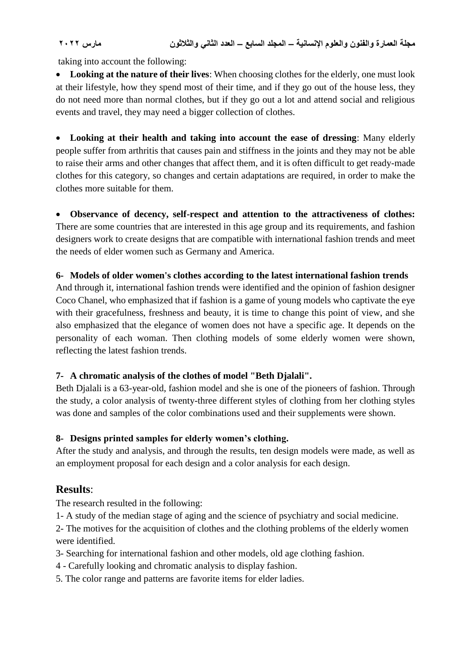taking into account the following:

 **Looking at the nature of their lives**: When choosing clothes for the elderly, one must look at their lifestyle, how they spend most of their time, and if they go out of the house less, they do not need more than normal clothes, but if they go out a lot and attend social and religious events and travel, they may need a bigger collection of clothes.

 **Looking at their health and taking into account the ease of dressing**: Many elderly people suffer from arthritis that causes pain and stiffness in the joints and they may not be able to raise their arms and other changes that affect them, and it is often difficult to get ready-made clothes for this category, so changes and certain adaptations are required, in order to make the clothes more suitable for them.

 **Observance of decency, self-respect and attention to the attractiveness of clothes:** There are some countries that are interested in this age group and its requirements, and fashion designers work to create designs that are compatible with international fashion trends and meet the needs of elder women such as Germany and America.

#### **6- Models of older women's clothes according to the latest international fashion trends**

And through it, international fashion trends were identified and the opinion of fashion designer Coco Chanel, who emphasized that if fashion is a game of young models who captivate the eye with their gracefulness, freshness and beauty, it is time to change this point of view, and she also emphasized that the elegance of women does not have a specific age. It depends on the personality of each woman. Then clothing models of some elderly women were shown, reflecting the latest fashion trends.

# **7- A chromatic analysis of the clothes of model "Beth Djalali".**

Beth Djalali is a 63-year-old, fashion model and she is one of the pioneers of fashion. Through the study, a color analysis of twenty-three different styles of clothing from her clothing styles was done and samples of the color combinations used and their supplements were shown.

# **8- Designs printed samples for elderly women's clothing.**

After the study and analysis, and through the results, ten design models were made, as well as an employment proposal for each design and a color analysis for each design.

# **Results**:

The research resulted in the following:

1- A study of the median stage of aging and the science of psychiatry and social medicine.

2- The motives for the acquisition of clothes and the clothing problems of the elderly women were identified.

3- Searching for international fashion and other models, old age clothing fashion.

4 - Carefully looking and chromatic analysis to display fashion.

5. The color range and patterns are favorite items for elder ladies.